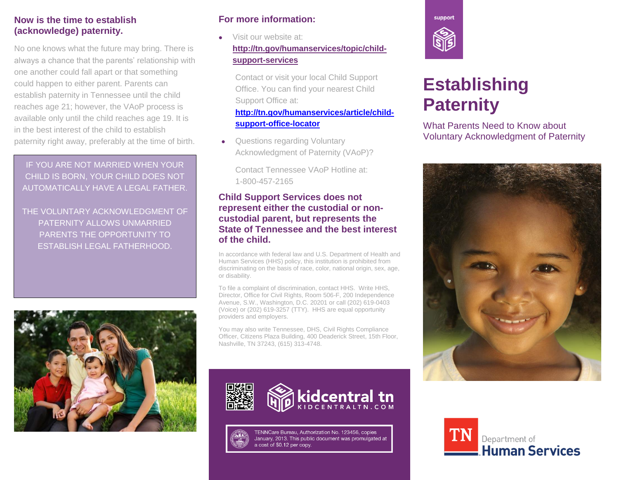# **Now is the time to establish (acknowledge) paternity.**

No one knows what the future may bring. There is always a chance that the parents' relationship with one another could fall apart or that something could happen to either parent. Parents can establish paternity in Tennessee until the child reaches age 21; however, the VAoP process is available only until the child reaches age 19. It is in the best interest of the child to establish paternity right away, preferably at the time of birth.

IF YOU ARE NOT MARRIED WHEN YOUR CHILD IS BORN, YOUR CHILD DOES NOT AUTOMATICALLY HAVE A LEGAL FATHER.

THE VOLUNTARY ACKNOWLEDGMENT OF PATERNITY ALLOWS UNMARRIED PARENTS THE OPPORTUNITY TO ESTABLISH LEGAL FATHERHOOD.



# **For more information:**

• Visit our website at: **[http://tn.gov/humanservices/topic/child](http://tn.gov/humanservices/topic/child-support-services)[support-services](http://tn.gov/humanservices/topic/child-support-services)**

Contact or visit your local Child Support Office. You can find your nearest Child Support Office at:

# **[http://tn.gov/humanservices/article/child](http://tn.gov/humanservices/article/child-support-office-locator)[support-office-locator](http://tn.gov/humanservices/article/child-support-office-locator)**

 Questions regarding Voluntary Acknowledgment of Paternity (VAoP)?

Contact Tennessee VAoP Hotline at: 1-800-457-2165

# **Child Support Services does not represent either the custodial or noncustodial parent, but represents the State of Tennessee and the best interest of the child.**

In accordance with federal law and U.S. Department of Health and Human Services (HHS) policy, this institution is prohibited from discriminating on the basis of race, color, national origin, sex, age, or disability.

To file a complaint of discrimination, contact HHS. Write HHS, Director, Office for Civil Rights, Room 506-F, 200 Independence Avenue, S.W., Washington, D.C. 20201 or call (202) 619-0403 (Voice) or (202) 619-3257 (TTY). HHS are equal opportunity providers and employers.

You may also write Tennessee, DHS, Civil Rights Compliance Officer, Citizens Plaza Building, 400 Deaderick Street, 15th Floor, Nashville, TN 37243, (615) 313-4748.



TENNCare Bureau, Authorization No. 123456, copies January, 2013. This public document was promulgated at a cost of \$0.12 per copy.



# **Establishing Paternity**

What Parents Need to Know about Voluntary Acknowledgment of Paternity